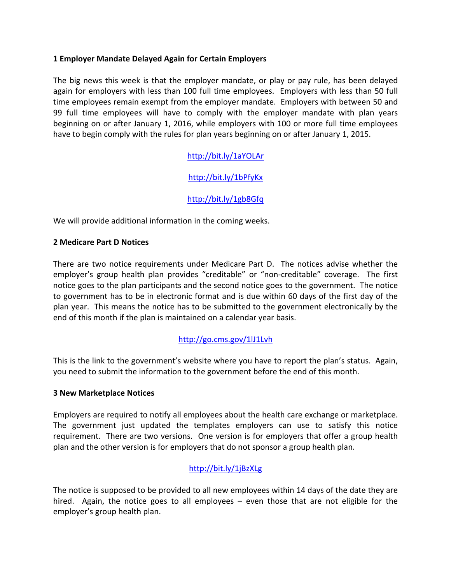### **1 Employer Mandate Delayed Again for Certain Employers**

The big news this week is that the employer mandate, or play or pay rule, has been delayed again for employers with less than 100 full time employees. Employers with less than 50 full time employees remain exempt from the employer mandate. Employers with between 50 and 99 full time employees will have to comply with the employer mandate with plan years beginning on or after January 1, 2016, while employers with 100 or more full time employees have to begin comply with the rules for plan years beginning on or after January 1, 2015.

# http://bit.ly/1aYOLAr

# http://bit.ly/1bPfyKx

# http://bit.ly/1gb8Gfq

We will provide additional information in the coming weeks.

#### **2 Medicare Part D Notices**

There are two notice requirements under Medicare Part D. The notices advise whether the employer's group health plan provides "creditable" or "non-creditable" coverage. The first notice goes to the plan participants and the second notice goes to the government. The notice to government has to be in electronic format and is due within 60 days of the first day of the plan year. This means the notice has to be submitted to the government electronically by the end of this month if the plan is maintained on a calendar year basis.

### http://go.cms.gov/1lJ1Lvh

This is the link to the government's website where you have to report the plan's status. Again, you need to submit the information to the government before the end of this month.

#### **3 New Marketplace Notices**

Employers are required to notify all employees about the health care exchange or marketplace. The government just updated the templates employers can use to satisfy this notice requirement. There are two versions. One version is for employers that offer a group health plan and the other version is for employers that do not sponsor a group health plan.

### http://bit.ly/1jBzXLg

The notice is supposed to be provided to all new employees within 14 days of the date they are hired. Again, the notice goes to all employees  $-$  even those that are not eligible for the employer's group health plan.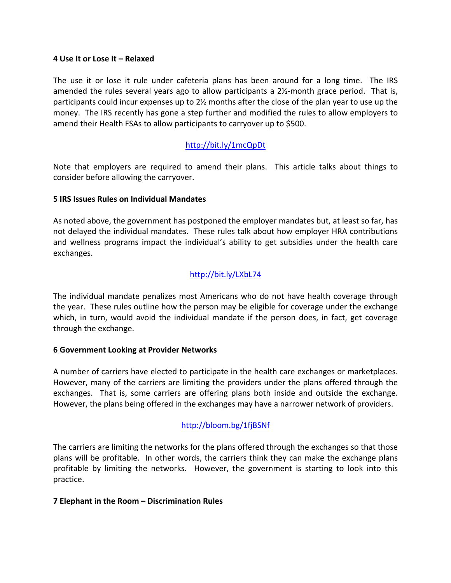#### **4 Use It or Lose It – Relaxed**

The use it or lose it rule under cafeteria plans has been around for a long time. The IRS amended the rules several years ago to allow participants a  $2\frac{1}{2}$ -month grace period. That is, participants could incur expenses up to  $2\frac{1}{2}$  months after the close of the plan year to use up the money. The IRS recently has gone a step further and modified the rules to allow employers to amend their Health FSAs to allow participants to carryover up to \$500.

### http://bit.ly/1mcQpDt

Note that employers are required to amend their plans. This article talks about things to consider before allowing the carryover.

#### **5 IRS Issues Rules on Individual Mandates**

As noted above, the government has postponed the employer mandates but, at least so far, has not delayed the individual mandates. These rules talk about how employer HRA contributions and wellness programs impact the individual's ability to get subsidies under the health care exchanges.

### http://bit.ly/LXbL74

The individual mandate penalizes most Americans who do not have health coverage through the year. These rules outline how the person may be eligible for coverage under the exchange which, in turn, would avoid the individual mandate if the person does, in fact, get coverage through the exchange.

#### **6 Government Looking at Provider Networks**

A number of carriers have elected to participate in the health care exchanges or marketplaces. However, many of the carriers are limiting the providers under the plans offered through the exchanges. That is, some carriers are offering plans both inside and outside the exchange. However, the plans being offered in the exchanges may have a narrower network of providers.

### http://bloom.bg/1fjBSNf

The carriers are limiting the networks for the plans offered through the exchanges so that those plans will be profitable. In other words, the carriers think they can make the exchange plans profitable by limiting the networks. However, the government is starting to look into this practice.

#### **7 Elephant in the Room – Discrimination Rules**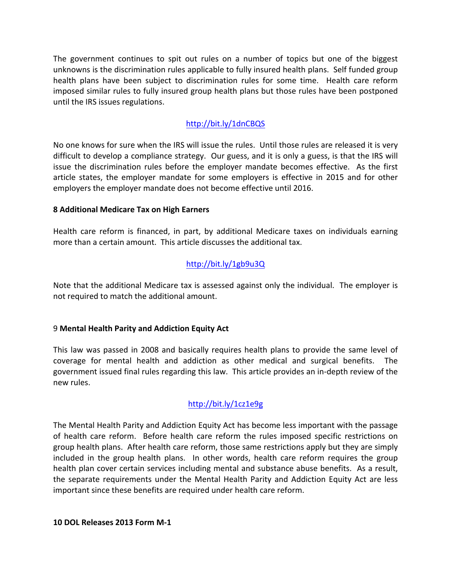The government continues to spit out rules on a number of topics but one of the biggest unknowns is the discrimination rules applicable to fully insured health plans. Self funded group health plans have been subject to discrimination rules for some time. Health care reform imposed similar rules to fully insured group health plans but those rules have been postponed until the IRS issues regulations.

# http://bit.ly/1dnCBQS

No one knows for sure when the IRS will issue the rules. Until those rules are released it is very difficult to develop a compliance strategy. Our guess, and it is only a guess, is that the IRS will issue the discrimination rules before the employer mandate becomes effective. As the first article states, the employer mandate for some employers is effective in 2015 and for other employers the employer mandate does not become effective until 2016.

#### **8 Additional Medicare Tax on High Earners**

Health care reform is financed, in part, by additional Medicare taxes on individuals earning more than a certain amount. This article discusses the additional tax.

# http://bit.ly/1gb9u3Q

Note that the additional Medicare tax is assessed against only the individual. The employer is not required to match the additional amount.

### 9 **Mental Health Parity and Addiction Equity Act**

This law was passed in 2008 and basically requires health plans to provide the same level of coverage for mental health and addiction as other medical and surgical benefits. The government issued final rules regarding this law. This article provides an in-depth review of the new rules.

### http://bit.ly/1cz1e9g

The Mental Health Parity and Addiction Equity Act has become less important with the passage of health care reform. Before health care reform the rules imposed specific restrictions on group health plans. After health care reform, those same restrictions apply but they are simply included in the group health plans. In other words, health care reform requires the group health plan cover certain services including mental and substance abuse benefits. As a result, the separate requirements under the Mental Health Parity and Addiction Equity Act are less important since these benefits are required under health care reform.

#### **10 DOL Releases 2013 Form M-1**